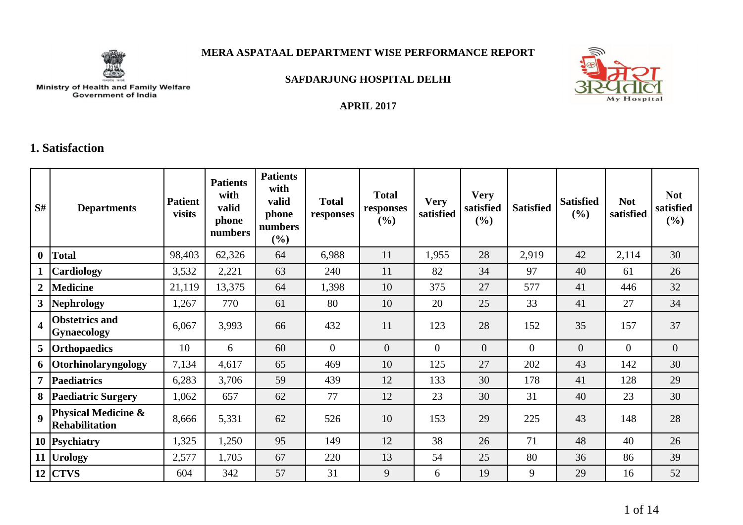

#### **MERA ASPATAAL DEPARTMENT WISE PERFORMANCE REPORT**

**APRIL 2017**



**SAFDARJUNG HOSPITAL DELHI**

# Ministry of Health and Family Welfare<br>Government of India

#### **1. Satisfaction**

| S#                      | <b>Departments</b>                                      | <b>Patient</b><br>visits | <b>Patients</b><br>with<br>valid<br>phone<br>numbers | <b>Patients</b><br>with<br>valid<br>phone<br>numbers<br>(%) | <b>Total</b><br>responses | <b>Total</b><br>responses<br>(%) | <b>Very</b><br>satisfied | <b>Very</b><br>satisfied<br>(%) | <b>Satisfied</b> | <b>Satisfied</b><br>(%) | <b>Not</b><br>satisfied | <b>Not</b><br>satisfied<br>(%) |
|-------------------------|---------------------------------------------------------|--------------------------|------------------------------------------------------|-------------------------------------------------------------|---------------------------|----------------------------------|--------------------------|---------------------------------|------------------|-------------------------|-------------------------|--------------------------------|
| $\mathbf{0}$            | <b>Total</b>                                            | 98,403                   | 62,326                                               | 64                                                          | 6,988                     | 11                               | 1,955                    | 28                              | 2,919            | 42                      | 2,114                   | 30                             |
|                         | Cardiology                                              | 3,532                    | 2,221                                                | 63                                                          | 240                       | 11                               | 82                       | 34                              | 97               | 40                      | 61                      | 26                             |
| $\overline{2}$          | <b>Medicine</b>                                         | 21,119                   | 13,375                                               | 64                                                          | 1,398                     | 10                               | 375                      | 27                              | 577              | 41                      | 446                     | 32                             |
| 3 <sup>1</sup>          | <b>Nephrology</b>                                       | 1,267                    | 770                                                  | 61                                                          | 80                        | 10                               | 20                       | 25                              | 33               | 41                      | 27                      | 34                             |
| $\overline{\mathbf{4}}$ | <b>Obstetrics and</b><br><b>Gynaecology</b>             | 6,067                    | 3,993                                                | 66                                                          | 432                       | 11                               | 123                      | 28                              | 152              | 35                      | 157                     | 37                             |
| 5 <sup>5</sup>          | <b>Orthopaedics</b>                                     | 10                       | 6                                                    | 60                                                          | $\Omega$                  | $\overline{0}$                   | $\Omega$                 | $\overline{0}$                  | $\Omega$         | $\overline{0}$          | $\Omega$                | $\overline{0}$                 |
| 6                       | Otorhinolaryngology                                     | 7,134                    | 4,617                                                | 65                                                          | 469                       | 10                               | 125                      | 27                              | 202              | 43                      | 142                     | 30                             |
| $\overline{7}$          | <b>Paediatrics</b>                                      | 6,283                    | 3,706                                                | 59                                                          | 439                       | 12                               | 133                      | 30                              | 178              | 41                      | 128                     | 29                             |
| 8                       | <b>Paediatric Surgery</b>                               | 1,062                    | 657                                                  | 62                                                          | 77                        | 12                               | 23                       | 30                              | 31               | 40                      | 23                      | 30                             |
| $\boldsymbol{Q}$        | <b>Physical Medicine &amp;</b><br><b>Rehabilitation</b> | 8,666                    | 5,331                                                | 62                                                          | 526                       | 10                               | 153                      | 29                              | 225              | 43                      | 148                     | 28                             |
|                         | 10 Psychiatry                                           | 1,325                    | 1,250                                                | 95                                                          | 149                       | 12                               | 38                       | 26                              | 71               | 48                      | 40                      | 26                             |
|                         | 11 Urology                                              | 2,577                    | 1,705                                                | 67                                                          | 220                       | 13                               | 54                       | 25                              | 80               | 36                      | 86                      | 39                             |
|                         | $12$ $ CTVS$                                            | 604                      | 342                                                  | 57                                                          | 31                        | 9                                | 6                        | 19                              | 9                | 29                      | 16                      | 52                             |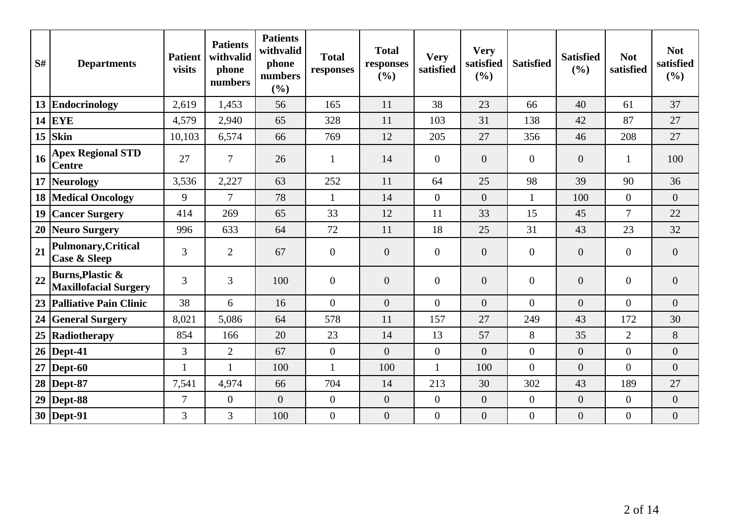| S# | <b>Departments</b>                                          | <b>Patient</b><br>visits | <b>Patients</b><br>withvalid<br>phone<br>numbers | <b>Patients</b><br>withvalid<br>phone<br>numbers<br>(%) | <b>Total</b><br>responses | <b>Total</b><br>responses<br>(%) | <b>Very</b><br>satisfied | <b>Very</b><br>satisfied<br>(%) | <b>Satisfied</b> | <b>Satisfied</b><br>(%) | <b>Not</b><br>satisfied | <b>Not</b><br>satisfied<br>(%) |
|----|-------------------------------------------------------------|--------------------------|--------------------------------------------------|---------------------------------------------------------|---------------------------|----------------------------------|--------------------------|---------------------------------|------------------|-------------------------|-------------------------|--------------------------------|
|    | 13 Endocrinology                                            | 2,619                    | 1,453                                            | 56                                                      | 165                       | 11                               | 38                       | 23                              | 66               | 40                      | 61                      | 37                             |
|    | 14 EYE                                                      | 4,579                    | 2,940                                            | 65                                                      | 328                       | 11                               | 103                      | 31                              | 138              | 42                      | 87                      | 27                             |
|    | $15$ Skin                                                   | 10,103                   | 6,574                                            | 66                                                      | 769                       | 12                               | 205                      | 27                              | 356              | 46                      | 208                     | 27                             |
| 16 | <b>Apex Regional STD</b><br><b>Centre</b>                   | 27                       | $\overline{7}$                                   | 26                                                      | $\mathbf{1}$              | 14                               | $\overline{0}$           | $\overline{0}$                  | $\overline{0}$   | $\overline{0}$          | 1                       | 100                            |
|    | 17 Neurology                                                | 3,536                    | 2,227                                            | 63                                                      | 252                       | 11                               | 64                       | 25                              | 98               | 39                      | 90                      | 36                             |
|    | <b>18 Medical Oncology</b>                                  | 9                        | $\overline{7}$                                   | 78                                                      | $\mathbf{1}$              | 14                               | $\overline{0}$           | $\overline{0}$                  | $\mathbf{1}$     | 100                     | $\overline{0}$          | $\overline{0}$                 |
| 19 | <b>Cancer Surgery</b>                                       | 414                      | 269                                              | 65                                                      | 33                        | 12                               | 11                       | 33                              | 15               | 45                      | $\overline{7}$          | 22                             |
|    | 20 Neuro Surgery                                            | 996                      | 633                                              | 64                                                      | 72                        | 11                               | 18                       | 25                              | 31               | 43                      | 23                      | 32                             |
| 21 | <b>Pulmonary, Critical</b><br><b>Case &amp; Sleep</b>       | 3                        | $\overline{2}$                                   | 67                                                      | $\boldsymbol{0}$          | $\overline{0}$                   | $\overline{0}$           | $\overline{0}$                  | $\overline{0}$   | $\theta$                | $\overline{0}$          | $\overline{0}$                 |
| 22 | <b>Burns, Plastic &amp;</b><br><b>Maxillofacial Surgery</b> | 3                        | 3                                                | 100                                                     | $\overline{0}$            | $\overline{0}$                   | $\overline{0}$           | $\boldsymbol{0}$                | $\overline{0}$   | $\boldsymbol{0}$        | $\mathbf{0}$            | $\boldsymbol{0}$               |
|    | 23 Palliative Pain Clinic                                   | 38                       | 6                                                | 16                                                      | $\overline{0}$            | $\overline{0}$                   | $\overline{0}$           | $\overline{0}$                  | $\overline{0}$   | $\theta$                | $\overline{0}$          | $\overline{0}$                 |
|    | 24 General Surgery                                          | 8,021                    | 5,086                                            | 64                                                      | 578                       | 11                               | 157                      | 27                              | 249              | 43                      | 172                     | 30                             |
|    | 25 Radiotherapy                                             | 854                      | 166                                              | 20                                                      | 23                        | 14                               | 13                       | 57                              | 8                | 35                      | $\overline{2}$          | 8                              |
|    | $26$ Dept-41                                                | 3                        | $\mathbf{2}$                                     | 67                                                      | $\overline{0}$            | $\Omega$                         | $\overline{0}$           | $\overline{0}$                  | $\boldsymbol{0}$ | $\overline{0}$          | $\Omega$                | $\overline{0}$                 |
|    | $27$ Dept-60                                                |                          | $\mathbf{1}$                                     | 100                                                     | $\mathbf{1}$              | 100                              | $\mathbf{1}$             | 100                             | $\overline{0}$   | $\theta$                | $\Omega$                | $\overline{0}$                 |
|    | 28   Dept-87                                                | 7,541                    | 4,974                                            | 66                                                      | 704                       | 14                               | 213                      | 30                              | 302              | 43                      | 189                     | 27                             |
|    | $29$ Dept-88                                                | $\overline{7}$           | $\overline{0}$                                   | $\overline{0}$                                          | $\boldsymbol{0}$          | $\overline{0}$                   | $\boldsymbol{0}$         | $\boldsymbol{0}$                | $\boldsymbol{0}$ | $\boldsymbol{0}$        | $\overline{0}$          | $\boldsymbol{0}$               |
|    | 30 Dept-91                                                  | 3                        | 3                                                | 100                                                     | $\boldsymbol{0}$          | $\boldsymbol{0}$                 | $\boldsymbol{0}$         | $\boldsymbol{0}$                | $\boldsymbol{0}$ | $\boldsymbol{0}$        | $\boldsymbol{0}$        | $\boldsymbol{0}$               |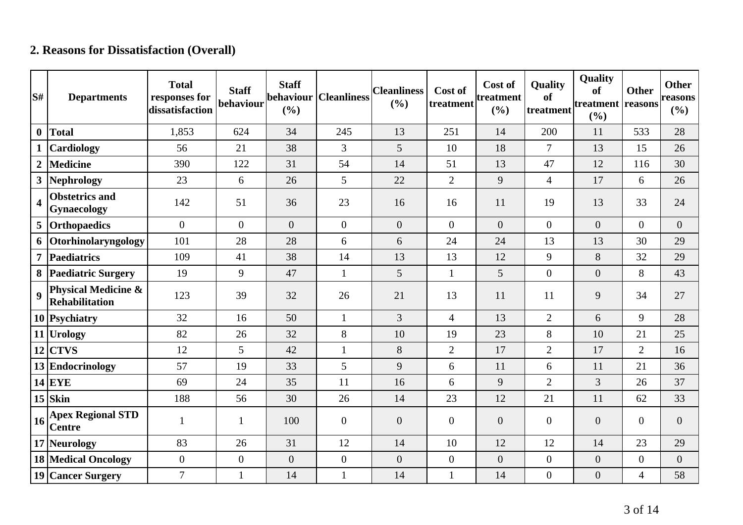# **2. Reasons for Dissatisfaction (Overall)**

| S#               | <b>Departments</b>                           | <b>Total</b><br>responses for<br>dissatisfaction | <b>Staff</b><br>behaviour | <b>Staff</b><br>behaviour<br>(%) | <b>Cleanliness</b> | <b>Cleanliness</b><br>(%) | Cost of<br>treatment | Cost of<br>treatment<br>(%) | <b>Quality</b><br>of<br>treatment | Quality<br><b>of</b><br>treatment   reasons<br>(%) | <b>Other</b>     | <b>Other</b><br>reasons<br>(%) |
|------------------|----------------------------------------------|--------------------------------------------------|---------------------------|----------------------------------|--------------------|---------------------------|----------------------|-----------------------------|-----------------------------------|----------------------------------------------------|------------------|--------------------------------|
| $\boldsymbol{0}$ | <b>Total</b>                                 | 1,853                                            | 624                       | 34                               | 245                | 13                        | 251                  | 14                          | 200                               | 11                                                 | 533              | 28                             |
|                  | <b>Cardiology</b>                            | 56                                               | 21                        | 38                               | $\overline{3}$     | 5                         | 10                   | 18                          | $\overline{7}$                    | 13                                                 | 15               | 26                             |
| $\overline{2}$   | <b>Medicine</b>                              | 390                                              | 122                       | 31                               | 54                 | 14                        | 51                   | 13                          | 47                                | 12                                                 | 116              | 30                             |
| 3                | Nephrology                                   | 23                                               | 6                         | 26                               | 5                  | 22                        | $\overline{2}$       | 9                           | $\overline{4}$                    | 17                                                 | 6                | 26                             |
| 4                | <b>Obstetrics and</b><br>Gynaecology         | 142                                              | 51                        | 36                               | 23                 | 16                        | 16                   | 11                          | 19                                | 13                                                 | 33               | 24                             |
| 5                | Orthopaedics                                 | $\overline{0}$                                   | $\overline{0}$            | $\overline{0}$                   | $\overline{0}$     | $\overline{0}$            | $\overline{0}$       | $\overline{0}$              | $\overline{0}$                    | $\overline{0}$                                     | $\overline{0}$   | $\overline{0}$                 |
| 6                | Otorhinolaryngology                          | 101                                              | 28                        | 28                               | 6                  | 6                         | 24                   | 24                          | 13                                | 13                                                 | 30               | 29                             |
| 7                | Paediatrics                                  | 109                                              | 41                        | 38                               | 14                 | 13                        | 13                   | 12                          | 9                                 | 8                                                  | 32               | 29                             |
| 8                | <b>Paediatric Surgery</b>                    | 19                                               | 9                         | 47                               | $\mathbf{1}$       | 5                         | $\mathbf{1}$         | 5                           | $\overline{0}$                    | $\overline{0}$                                     | 8                | 43                             |
| 9                | Physical Medicine &<br><b>Rehabilitation</b> | 123                                              | 39                        | 32                               | 26                 | 21                        | 13                   | 11                          | 11                                | 9                                                  | 34               | 27                             |
|                  | 10 Psychiatry                                | 32                                               | 16                        | 50                               | $\mathbf{1}$       | $\overline{3}$            | $\overline{4}$       | 13                          | $\overline{2}$                    | 6                                                  | 9                | 28                             |
|                  | 11 Urology                                   | 82                                               | 26                        | 32                               | 8                  | 10                        | 19                   | 23                          | 8                                 | 10                                                 | 21               | 25                             |
| 12               | <b>CTVS</b>                                  | 12                                               | 5                         | 42                               | $\mathbf{1}$       | 8                         | $\overline{2}$       | 17                          | $\overline{2}$                    | 17                                                 | $\overline{2}$   | 16                             |
|                  | 13 Endocrinology                             | 57                                               | 19                        | 33                               | 5                  | 9                         | 6                    | 11                          | 6                                 | 11                                                 | 21               | 36                             |
|                  | $14$ EYE                                     | 69                                               | 24                        | 35                               | 11                 | 16                        | 6                    | 9                           | $\overline{2}$                    | 3                                                  | 26               | 37                             |
|                  | $15$ Skin                                    | 188                                              | 56                        | 30                               | 26                 | 14                        | 23                   | 12                          | 21                                | 11                                                 | 62               | 33                             |
| 16               | <b>Apex Regional STD</b><br><b>Centre</b>    | $\mathbf{1}$                                     | 1                         | 100                              | $\overline{0}$     | $\boldsymbol{0}$          | $\overline{0}$       | $\boldsymbol{0}$            | $\overline{0}$                    | $\overline{0}$                                     | $\boldsymbol{0}$ | $\overline{0}$                 |
|                  | 17 Neurology                                 | 83                                               | 26                        | 31                               | 12                 | 14                        | 10                   | 12                          | 12                                | 14                                                 | 23               | 29                             |
|                  | 18 Medical Oncology                          | $\overline{0}$                                   | $\boldsymbol{0}$          | $\boldsymbol{0}$                 | $\overline{0}$     | $\boldsymbol{0}$          | $\overline{0}$       | $\boldsymbol{0}$            | $\boldsymbol{0}$                  | $\boldsymbol{0}$                                   | $\boldsymbol{0}$ | $\boldsymbol{0}$               |
|                  | 19 Cancer Surgery                            | $\overline{7}$                                   | $\mathbf{1}$              | 14                               | 1                  | 14                        | $\mathbf{1}$         | 14                          | $\boldsymbol{0}$                  | $\overline{0}$                                     | $\overline{4}$   | 58                             |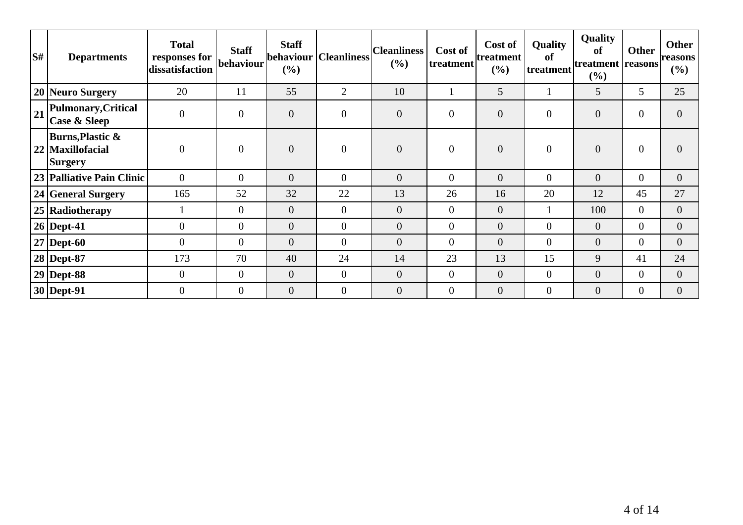| $\mathbf{S}$ # | <b>Departments</b>                                 | <b>Total</b><br>responses for<br>dissatisfaction | <b>Staff</b><br> behaviour | <b>Staff</b><br>$(\%)$ | behaviour   Cleanliness | <b>Cleanliness</b><br>(%) | Cost of<br> treatment | Cost of<br>treatment<br>(%) | <b>Quality</b><br>of<br>treatment | Quality<br>of<br> treatment  <br>$($ %) | <b>Other</b><br>reasons | <b>Other</b><br><b>reasons</b><br>$(\%)$ |
|----------------|----------------------------------------------------|--------------------------------------------------|----------------------------|------------------------|-------------------------|---------------------------|-----------------------|-----------------------------|-----------------------------------|-----------------------------------------|-------------------------|------------------------------------------|
|                | 20 Neuro Surgery                                   | 20                                               | 11                         | 55                     | $\overline{2}$          | 10                        |                       | 5                           |                                   | 5                                       | 5                       | 25                                       |
| 21             | Pulmonary, Critical<br>Case & Sleep                | $\theta$                                         | $\boldsymbol{0}$           | $\boldsymbol{0}$       | $\overline{0}$          | $\boldsymbol{0}$          | $\overline{0}$        | $\boldsymbol{0}$            | $\overline{0}$                    | $\boldsymbol{0}$                        | $\overline{0}$          | $\theta$                                 |
|                | Burns, Plastic $\&$<br>22 Maxillofacial<br>Surgery | $\theta$                                         | $\overline{0}$             | $\overline{0}$         | $\overline{0}$          | $\overline{0}$            | $\overline{0}$        | $\overline{0}$              | $\overline{0}$                    | $\boldsymbol{0}$                        | $\overline{0}$          | $\Omega$                                 |
|                | 23 Palliative Pain Clinic                          | $\Omega$                                         | $\overline{0}$             | $\overline{0}$         | $\overline{0}$          | $\overline{0}$            | $\overline{0}$        | $\overline{0}$              | $\overline{0}$                    | $\overline{0}$                          | $\overline{0}$          | $\overline{0}$                           |
|                | 24 General Surgery                                 | 165                                              | 52                         | 32                     | 22                      | 13                        | 26                    | 16                          | 20                                | 12                                      | 45                      | 27                                       |
|                | 25 Radiotherapy                                    |                                                  | $\overline{0}$             | $\overline{0}$         | $\overline{0}$          | $\overline{0}$            | $\overline{0}$        | $\overline{0}$              |                                   | 100                                     | $\overline{0}$          | $\overline{0}$                           |
|                | $26$ Dept-41                                       | $\theta$                                         | $\overline{0}$             | $\overline{0}$         | $\overline{0}$          | $\overline{0}$            | $\overline{0}$        | $\overline{0}$              | $\overline{0}$                    | $\overline{0}$                          | $\overline{0}$          | $\overline{0}$                           |
|                | $27$ Dept-60                                       | $\overline{0}$                                   | $\mathbf{0}$               | $\overline{0}$         | $\overline{0}$          | $\overline{0}$            | $\overline{0}$        | $\overline{0}$              | $\overline{0}$                    | $\overline{0}$                          | $\overline{0}$          | $\overline{0}$                           |
|                | 28 Dept-87                                         | 173                                              | 70                         | 40                     | 24                      | 14                        | 23                    | 13                          | 15                                | 9                                       | 41                      | 24                                       |
|                | $29$ Dept-88                                       | $\overline{0}$                                   | $\overline{0}$             | $\overline{0}$         | $\overline{0}$          | $\overline{0}$            | $\overline{0}$        | $\overline{0}$              | $\overline{0}$                    | $\theta$                                | $\overline{0}$          | $\overline{0}$                           |
|                | $30$ Dept-91                                       | $\Omega$                                         | $\overline{0}$             | $\overline{0}$         | $\overline{0}$          | $\overline{0}$            | $\overline{0}$        | $\overline{0}$              | $\overline{0}$                    | $\mathbf{0}$                            | $\overline{0}$          | $\overline{0}$                           |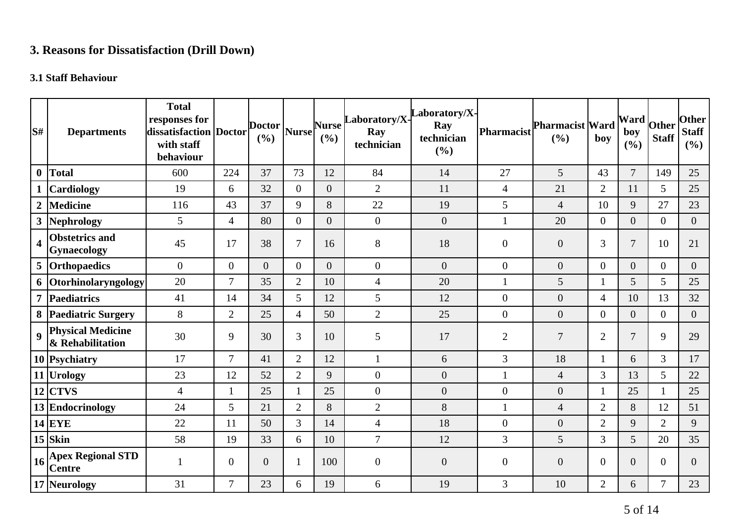# **3. Reasons for Dissatisfaction (Drill Down)**

## **3.1 Staff Behaviour**

| S#                      | <b>Departments</b>                           | <b>Total</b><br>responses for<br>dissatisfaction Doctor<br>with staff<br>behaviour |                | <b>Doctor</b><br>(%) | <b>Nurse</b>     | <b>Nurse</b><br>(%) | Laboratory/X-<br>Ray<br>technician | aboratory/X-<br>Ray<br>technician<br>(%) | Pharmacist       | <b>Pharmacist Ward</b><br>(%) | boy            | <b>Ward</b><br>boy<br>(%) | Other<br><b>Staff</b> | <b>Other</b><br><b>Staff</b><br>(%) |
|-------------------------|----------------------------------------------|------------------------------------------------------------------------------------|----------------|----------------------|------------------|---------------------|------------------------------------|------------------------------------------|------------------|-------------------------------|----------------|---------------------------|-----------------------|-------------------------------------|
| $\boldsymbol{0}$        | Total                                        | 600                                                                                | 224            | 37                   | 73               | 12                  | 84                                 | 14                                       | 27               | 5                             | 43             | $\overline{7}$            | 149                   | 25                                  |
|                         | <b>Cardiology</b>                            | 19                                                                                 | 6              | 32                   | $\overline{0}$   | $\overline{0}$      | $\mathbf{2}$                       | 11                                       | $\overline{4}$   | 21                            | $\overline{2}$ | 11                        | 5                     | 25                                  |
| $\boldsymbol{2}$        | <b>Medicine</b>                              | 116                                                                                | 43             | 37                   | 9                | 8                   | 22                                 | 19                                       | 5                | $\overline{4}$                | 10             | 9                         | 27                    | 23                                  |
| 3                       | Nephrology                                   | 5                                                                                  | $\overline{4}$ | 80                   | $\boldsymbol{0}$ | $\overline{0}$      | $\boldsymbol{0}$                   | $\boldsymbol{0}$                         | $\mathbf{1}$     | 20                            | $\overline{0}$ | $\overline{0}$            | $\overline{0}$        | $\overline{0}$                      |
| $\overline{\mathbf{4}}$ | <b>Obstetrics and</b><br>Gynaecology         | 45                                                                                 | 17             | 38                   | 7                | 16                  | 8                                  | 18                                       | $\overline{0}$   | $\boldsymbol{0}$              | 3              | $\overline{7}$            | 10                    | 21                                  |
|                         | 5 Orthopaedics                               | $\mathbf{0}$                                                                       | $\overline{0}$ | $\Omega$             | $\Omega$         | $\Omega$            | $\boldsymbol{0}$                   | $\overline{0}$                           | $\overline{0}$   | $\overline{0}$                | $\overline{0}$ | $\overline{0}$            | $\overline{0}$        | $\overline{0}$                      |
|                         | 6 Otorhinolaryngology                        | 20                                                                                 | $\overline{7}$ | 35                   | $\overline{2}$   | 10                  | $\overline{4}$                     | 20                                       | $\mathbf{1}$     | 5                             |                | 5                         | 5                     | 25                                  |
| $\overline{7}$          | Paediatrics                                  | 41                                                                                 | 14             | 34                   | 5                | 12                  | 5                                  | 12                                       | $\boldsymbol{0}$ | $\boldsymbol{0}$              | $\overline{4}$ | 10                        | 13                    | 32                                  |
|                         | 8 Paediatric Surgery                         | 8                                                                                  | $\overline{2}$ | 25                   | 4                | 50                  | $\mathbf{2}$                       | 25                                       | $\boldsymbol{0}$ | $\boldsymbol{0}$              | $\mathbf{0}$   | $\overline{0}$            | $\overline{0}$        | $\overline{0}$                      |
| $\boldsymbol{9}$        | <b>Physical Medicine</b><br>& Rehabilitation | 30                                                                                 | 9              | 30                   | 3                | 10                  | 5                                  | 17                                       | $\overline{2}$   | $\tau$                        | $\overline{2}$ | $\overline{7}$            | 9                     | 29                                  |
|                         | 10 Psychiatry                                | 17                                                                                 | $\overline{7}$ | 41                   | $\overline{2}$   | 12                  | $\mathbf{1}$                       | 6                                        | 3                | 18                            |                | 6                         | 3                     | 17                                  |
|                         | 11 Urology                                   | 23                                                                                 | 12             | 52                   | $\overline{2}$   | 9                   | $\boldsymbol{0}$                   | $\boldsymbol{0}$                         |                  | $\overline{4}$                | 3              | 13                        | 5                     | 22                                  |
|                         | $12$ CTVS                                    | $\overline{4}$                                                                     | $\mathbf{1}$   | 25                   | 1                | 25                  | $\boldsymbol{0}$                   | $\overline{0}$                           | $\boldsymbol{0}$ | $\overline{0}$                | 1              | 25                        | $\mathbf{1}$          | 25                                  |
|                         | 13 Endocrinology                             | 24                                                                                 | 5              | 21                   | $\overline{2}$   | 8                   | $\overline{2}$                     | 8                                        | 1                | $\overline{4}$                | $\overline{2}$ | 8                         | 12                    | 51                                  |
|                         | $14$ EYE                                     | 22                                                                                 | 11             | 50                   | $\overline{3}$   | 14                  | $\overline{4}$                     | 18                                       | $\boldsymbol{0}$ | $\boldsymbol{0}$              | $\overline{2}$ | 9                         | $\overline{2}$        | 9                                   |
|                         | $15$ Skin                                    | 58                                                                                 | 19             | 33                   | 6                | 10                  | $\overline{7}$                     | 12                                       | 3                | 5                             | 3              | $\overline{5}$            | 20                    | 35                                  |
| 16                      | <b>Apex Regional STD</b><br><b>Centre</b>    | $\mathbf{1}$                                                                       | $\overline{0}$ | $\overline{0}$       | 1                | 100                 | $\boldsymbol{0}$                   | $\overline{0}$                           | $\overline{0}$   | $\overline{0}$                | $\overline{0}$ | $\overline{0}$            | $\overline{0}$        | $\overline{0}$                      |
|                         | 17 Neurology                                 | 31                                                                                 | 7              | 23                   | 6                | 19                  | 6                                  | 19                                       | 3                | 10                            | $\overline{2}$ | 6                         | 7                     | 23                                  |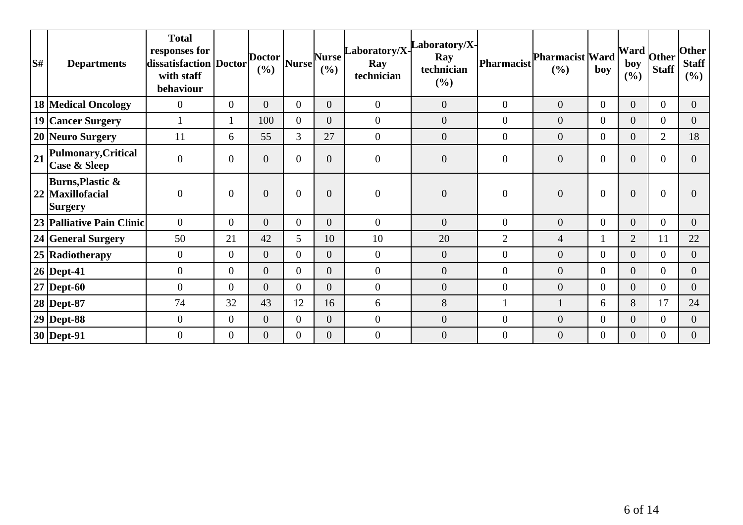| S# | <b>Departments</b>                                                | <b>Total</b><br>responses for<br>dissatisfaction   Doctor  <br>with staff<br>behaviour |                  | Doctor  <br>(%) | Nurse          | <b>Nurse</b><br>(%) | $\label{eq:colorax} \begin{array}{ll} \textbf{Laboratory/X} \begin{array}{ll} \textbf{Laboratory/X} \end{array} \end{array}$<br>Ray<br>technician | Ray<br>technician<br>(%) | Pharmacist       | <b>Pharmacist Ward</b><br>(%) | boy            | boy<br>(%)       | . $ \text{Ward} _{\text{Other}}$<br><b>Staff</b> | Other <br>Staff<br>$($ %) |
|----|-------------------------------------------------------------------|----------------------------------------------------------------------------------------|------------------|-----------------|----------------|---------------------|---------------------------------------------------------------------------------------------------------------------------------------------------|--------------------------|------------------|-------------------------------|----------------|------------------|--------------------------------------------------|---------------------------|
|    | <b>18 Medical Oncology</b>                                        | $\overline{0}$                                                                         | $\overline{0}$   | $\overline{0}$  | $\overline{0}$ | $\overline{0}$      | $\overline{0}$                                                                                                                                    | $\overline{0}$           | $\overline{0}$   | $\overline{0}$                | $\overline{0}$ | $\mathbf{0}$     | $\overline{0}$                                   | $\overline{0}$            |
|    | 19 Cancer Surgery                                                 |                                                                                        |                  | 100             | $\Omega$       | $\overline{0}$      | $\boldsymbol{0}$                                                                                                                                  | $\overline{0}$           | $\overline{0}$   | $\overline{0}$                | $\overline{0}$ | $\overline{0}$   | $\mathbf{0}$                                     | $\overline{0}$            |
|    | 20 Neuro Surgery                                                  | 11                                                                                     | 6                | 55              | 3              | 27                  | $\boldsymbol{0}$                                                                                                                                  | $\boldsymbol{0}$         | $\overline{0}$   | $\overline{0}$                | $\overline{0}$ | $\boldsymbol{0}$ | $\overline{2}$                                   | 18                        |
| 21 | Pulmonary, Critical<br><b>Case &amp; Sleep</b>                    | $\boldsymbol{0}$                                                                       | $\overline{0}$   | 0               | $\theta$       | $\Omega$            | $\boldsymbol{0}$                                                                                                                                  | $\overline{0}$           | $\overline{0}$   | $\overline{0}$                | 0              | $\theta$         | $\overline{0}$                                   | 0                         |
|    | <b>Burns, Plastic &amp;</b><br>22 Maxillofacial<br><b>Surgery</b> | $\overline{0}$                                                                         | $\boldsymbol{0}$ | 0               | $\overline{0}$ | $\overline{0}$      | $\overline{0}$                                                                                                                                    | $\overline{0}$           | $\boldsymbol{0}$ | $\mathbf{0}$                  | $\overline{0}$ | $\theta$         | $\boldsymbol{0}$                                 |                           |
|    | 23 Palliative Pain Clinic                                         | $\overline{0}$                                                                         | $\overline{0}$   | $\overline{0}$  | $\overline{0}$ | $\overline{0}$      | $\boldsymbol{0}$                                                                                                                                  | $\overline{0}$           | $\overline{0}$   | $\overline{0}$                | $\overline{0}$ | $\mathbf{0}$     | $\overline{0}$                                   | $\overline{0}$            |
|    | 24 General Surgery                                                | 50                                                                                     | 21               | 42              | 5              | 10                  | 10                                                                                                                                                | 20                       | $\overline{2}$   | $\overline{4}$                |                | $\overline{2}$   | 11                                               | 22                        |
|    | 25 Radiotherapy                                                   | $\overline{0}$                                                                         | $\overline{0}$   | $\overline{0}$  | $\overline{0}$ | $\overline{0}$      | $\overline{0}$                                                                                                                                    | $\theta$                 | $\overline{0}$   | $\overline{0}$                | $\overline{0}$ | $\overline{0}$   | $\overline{0}$                                   | $\overline{0}$            |
|    | 26   Dept-41                                                      | $\boldsymbol{0}$                                                                       | $\overline{0}$   | 0               | $\Omega$       | $\overline{0}$      | $\boldsymbol{0}$                                                                                                                                  | $\theta$                 | $\overline{0}$   | $\overline{0}$                | $\overline{0}$ | $\boldsymbol{0}$ | $\overline{0}$                                   | 0                         |
|    | $27$ Dept-60                                                      | $\overline{0}$                                                                         | $\overline{0}$   | $\overline{0}$  | $\Omega$       | $\overline{0}$      | $\boldsymbol{0}$                                                                                                                                  | $\theta$                 | $\mathbf{0}$     | $\overline{0}$                | $\Omega$       | $\overline{0}$   | $\overline{0}$                                   | $\overline{0}$            |
|    | 28 Dept-87                                                        | 74                                                                                     | 32               | 43              | 12             | 16                  | 6                                                                                                                                                 | 8                        |                  |                               | 6              | 8                | 17                                               | 24                        |
|    | $29$ Dept-88                                                      | $\overline{0}$                                                                         | $\overline{0}$   | $\overline{0}$  | $\theta$       | $\overline{0}$      | $\overline{0}$                                                                                                                                    | $\overline{0}$           | $\mathbf{0}$     | $\overline{0}$                | $\overline{0}$ | $\overline{0}$   | $\overline{0}$                                   | $\overline{0}$            |
|    | $30$ Dept-91                                                      | $\overline{0}$                                                                         | $\overline{0}$   | $\overline{0}$  | $\overline{0}$ | $\overline{0}$      | $\overline{0}$                                                                                                                                    | $\overline{0}$           | $\boldsymbol{0}$ | $\boldsymbol{0}$              | $\overline{0}$ | $\overline{0}$   | $\overline{0}$                                   | $\overline{0}$            |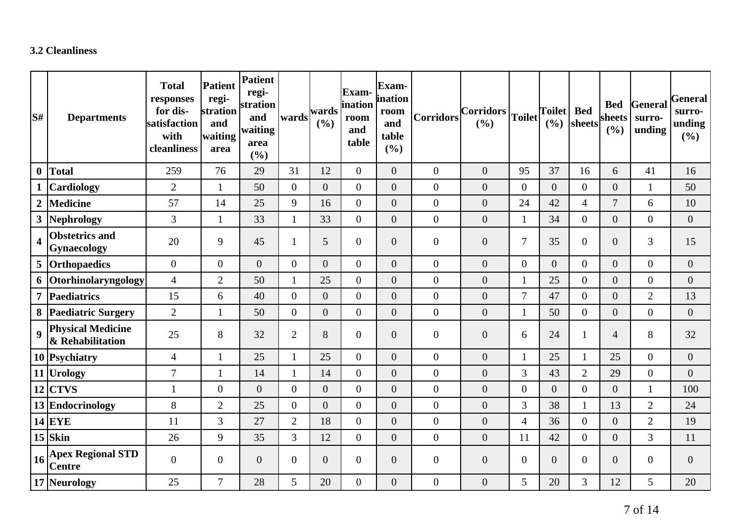## **3.2 Cleanliness**

| lS#                     | <b>Departments</b>                           | <b>Total</b><br>responses<br>for dis-<br>satisfaction<br>with<br>cleanliness | <b>Patient</b><br>regi-<br>stration<br>and<br>waiting<br>area | Patient<br>regi-<br>stration<br>and<br>waiting<br>area<br>(%) | wards          | wards<br>(%)     | <b>Exam-</b><br>ination<br>room<br>and<br>table | Exam-<br>ination<br>room<br>and<br>table<br>(%) | <b>Corridors</b> | Corridors<br>(%) | <b>Toilet</b>    | <b>Toilet</b><br>(%) | <b>Bed</b><br>sheets | <b>Bed</b><br>sheets<br>(%) | General<br>surro-<br>unding | General<br>surro-<br>unding<br>(%) |
|-------------------------|----------------------------------------------|------------------------------------------------------------------------------|---------------------------------------------------------------|---------------------------------------------------------------|----------------|------------------|-------------------------------------------------|-------------------------------------------------|------------------|------------------|------------------|----------------------|----------------------|-----------------------------|-----------------------------|------------------------------------|
| $\boldsymbol{0}$        | <b>Total</b>                                 | 259                                                                          | 76                                                            | 29                                                            | 31             | 12               | $\overline{0}$                                  | $\overline{0}$                                  | $\theta$         | $\overline{0}$   | 95               | 37                   | 16                   | 6                           | 41                          | 16                                 |
|                         | Cardiology                                   | $\overline{2}$                                                               | 1                                                             | 50                                                            | $\overline{0}$ | $\overline{0}$   | $\overline{0}$                                  | $\overline{0}$                                  | $\boldsymbol{0}$ | $\overline{0}$   | $\boldsymbol{0}$ | $\Omega$             | $\overline{0}$       | $\boldsymbol{0}$            | $\mathbf{1}$                | 50                                 |
| $\boldsymbol{2}$        | <b>Medicine</b>                              | 57                                                                           | 14                                                            | 25                                                            | 9              | 16               | $\overline{0}$                                  | $\boldsymbol{0}$                                | $\boldsymbol{0}$ | $\boldsymbol{0}$ | 24               | 42                   | $\overline{4}$       | $\overline{7}$              | 6                           | 10                                 |
| $\mathbf{3}$            | Nephrology                                   | 3                                                                            |                                                               | 33                                                            | $\mathbf{1}$   | 33               | $\overline{0}$                                  | $\boldsymbol{0}$                                | $\boldsymbol{0}$ | $\overline{0}$   | $\mathbf{1}$     | 34                   | $\overline{0}$       | $\boldsymbol{0}$            | $\overline{0}$              | $\overline{0}$                     |
| $\overline{\mathbf{4}}$ | <b>Obstetrics and</b><br>Gynaecology         | 20                                                                           | 9                                                             | 45                                                            |                | 5                | $\overline{0}$                                  | $\boldsymbol{0}$                                | $\boldsymbol{0}$ | $\overline{0}$   | $\overline{7}$   | 35                   | $\overline{0}$       | $\boldsymbol{0}$            | 3                           | 15                                 |
|                         | 5 Orthopaedics                               | $\boldsymbol{0}$                                                             | $\overline{0}$                                                | $\overline{0}$                                                | $\overline{0}$ | $\overline{0}$   | $\overline{0}$                                  | $\overline{0}$                                  | $\boldsymbol{0}$ | $\overline{0}$   | $\overline{0}$   | $\overline{0}$       | $\overline{0}$       | $\overline{0}$              | $\overline{0}$              | $\boldsymbol{0}$                   |
| 6                       | Otorhinolaryngology                          | $\overline{4}$                                                               | $\overline{2}$                                                | 50                                                            | $\mathbf{1}$   | 25               | $\overline{0}$                                  | $\boldsymbol{0}$                                | $\boldsymbol{0}$ | $\overline{0}$   | $\mathbf{1}$     | 25                   | $\overline{0}$       | $\boldsymbol{0}$            | $\overline{0}$              | $\boldsymbol{0}$                   |
| $\overline{7}$          | <b>Paediatrics</b>                           | 15                                                                           | 6                                                             | 40                                                            | $\overline{0}$ | $\overline{0}$   | $\overline{0}$                                  | $\overline{0}$                                  | $\mathbf{0}$     | $\overline{0}$   | $\overline{7}$   | 47                   | $\overline{0}$       | $\boldsymbol{0}$            | $\overline{2}$              | 13                                 |
| 8                       | <b>Paediatric Surgery</b>                    | $\overline{2}$                                                               | $\mathbf{1}$                                                  | 50                                                            | $\overline{0}$ | $\boldsymbol{0}$ | $\overline{0}$                                  | $\boldsymbol{0}$                                | $\boldsymbol{0}$ | $\boldsymbol{0}$ | $\mathbf{1}$     | 50                   | $\overline{0}$       | $\boldsymbol{0}$            | $\overline{0}$              | $\boldsymbol{0}$                   |
| $\boldsymbol{9}$        | <b>Physical Medicine</b><br>& Rehabilitation | 25                                                                           | 8                                                             | 32                                                            | $\overline{2}$ | 8                | $\overline{0}$                                  | $\overline{0}$                                  | $\boldsymbol{0}$ | $\overline{0}$   | 6                | 24                   | 1                    | $\overline{4}$              | 8                           | 32                                 |
|                         | 10 Psychiatry                                | $\overline{4}$                                                               |                                                               | 25                                                            |                | 25               | $\overline{0}$                                  | $\overline{0}$                                  | $\boldsymbol{0}$ | $\overline{0}$   | $\mathbf{1}$     | 25                   | $\mathbf{1}$         | 25                          | $\overline{0}$              | $\overline{0}$                     |
|                         | 11 Urology                                   | $\overline{7}$                                                               |                                                               | 14                                                            |                | 14               | $\overline{0}$                                  | $\overline{0}$                                  | $\boldsymbol{0}$ | $\overline{0}$   | 3                | 43                   | $\overline{2}$       | 29                          | $\overline{0}$              | $\boldsymbol{0}$                   |
|                         | $12$ CTVS                                    | $\mathbf{1}$                                                                 | $\overline{0}$                                                | $\overline{0}$                                                | $\overline{0}$ | $\overline{0}$   | $\overline{0}$                                  | $\overline{0}$                                  | $\overline{0}$   | $\overline{0}$   | $\boldsymbol{0}$ | $\overline{0}$       | $\mathbf{0}$         | $\boldsymbol{0}$            | $\mathbf{1}$                | 100                                |
|                         | 13 Endocrinology                             | 8                                                                            | $\overline{2}$                                                | 25                                                            | $\Omega$       | $\overline{0}$   | $\overline{0}$                                  | $\overline{0}$                                  | $\mathbf{0}$     | $\overline{0}$   | 3                | 38                   | $\mathbf{1}$         | 13                          | $\overline{2}$              | 24                                 |
|                         | $14$ EYE                                     | 11                                                                           | 3                                                             | 27                                                            | $\overline{2}$ | 18               | $\overline{0}$                                  | $\overline{0}$                                  | $\boldsymbol{0}$ | $\overline{0}$   | $\overline{4}$   | 36                   | $\overline{0}$       | $\boldsymbol{0}$            | $\overline{2}$              | 19                                 |
|                         | $15$ Skin                                    | 26                                                                           | 9                                                             | 35                                                            | $\overline{3}$ | 12               | $\overline{0}$                                  | $\boldsymbol{0}$                                | $\boldsymbol{0}$ | $\boldsymbol{0}$ | 11               | 42                   | $\overline{0}$       | $\overline{0}$              | 3                           | 11                                 |
| 16                      | <b>Apex Regional STD</b><br><b>Centre</b>    | $\boldsymbol{0}$                                                             | $\overline{0}$                                                | $\overline{0}$                                                | $\overline{0}$ | $\boldsymbol{0}$ | $\overline{0}$                                  | $\boldsymbol{0}$                                | $\boldsymbol{0}$ | $\overline{0}$   | $\boldsymbol{0}$ | $\overline{0}$       | $\overline{0}$       | $\boldsymbol{0}$            | $\overline{0}$              | $\boldsymbol{0}$                   |
|                         | 17 Neurology                                 | 25                                                                           | $\overline{7}$                                                | 28                                                            | 5              | 20               | $\overline{0}$                                  | $\boldsymbol{0}$                                | $\boldsymbol{0}$ | $\overline{0}$   | 5                | 20                   | 3                    | 12                          | 5                           | 20                                 |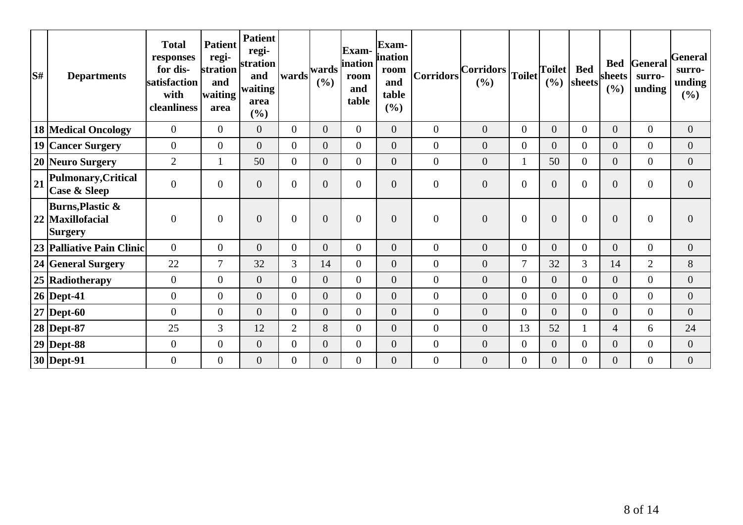| S# | <b>Departments</b>                                                | <b>Total</b><br>responses<br>for dis-<br>satisfaction<br>with<br>cleanliness | <b>Patient</b><br>regi-<br>stration<br>and<br>waiting<br>area | <b>Patient</b><br>regi-<br>stration<br>and<br>waiting<br>area<br>(%) | wards            | wards<br>(%)     | Exam-<br><i>ination</i><br>room<br>and<br>table | Exam-<br>ination<br>room<br>and<br>table<br>(%) | <b>Corridors</b> | Corridors<br>(%) | <b>Toilet</b>    | <b>Toilet</b><br>(%) | <b>Bed</b><br> sheets | <b>Bed</b><br>sheets<br>(%) | General<br>surro-<br>unding | General<br>surro-<br>unding<br>(%) |
|----|-------------------------------------------------------------------|------------------------------------------------------------------------------|---------------------------------------------------------------|----------------------------------------------------------------------|------------------|------------------|-------------------------------------------------|-------------------------------------------------|------------------|------------------|------------------|----------------------|-----------------------|-----------------------------|-----------------------------|------------------------------------|
|    | <b>18 Medical Oncology</b>                                        | $\overline{0}$                                                               | $\overline{0}$                                                | $\overline{0}$                                                       | $\Omega$         | $\overline{0}$   | $\overline{0}$                                  | $\overline{0}$                                  | $\theta$         | $\overline{0}$   | $\mathbf{0}$     | $\overline{0}$       | $\Omega$              | $\mathbf{0}$                | $\overline{0}$              | $\mathbf{0}$                       |
|    | 19 Cancer Surgery                                                 | $\overline{0}$                                                               | $\overline{0}$                                                | $\overline{0}$                                                       | $\overline{0}$   | $\overline{0}$   | $\overline{0}$                                  | $\overline{0}$                                  | $\overline{0}$   | $\overline{0}$   | $\overline{0}$   | $\theta$             | $\Omega$              | $\overline{0}$              | $\overline{0}$              | $\overline{0}$                     |
|    | 20 Neuro Surgery                                                  | $\overline{2}$                                                               |                                                               | 50                                                                   | $\overline{0}$   | $\overline{0}$   | $\overline{0}$                                  | $\overline{0}$                                  | $\overline{0}$   | $\boldsymbol{0}$ | 1                | 50                   | $\Omega$              | $\boldsymbol{0}$            | $\overline{0}$              | $\overline{0}$                     |
| 21 | Pulmonary, Critical<br><b>Case &amp; Sleep</b>                    | $\overline{0}$                                                               | $\overline{0}$                                                | $\overline{0}$                                                       | $\Omega$         | $\overline{0}$   | $\overline{0}$                                  | $\overline{0}$                                  | $\mathbf{0}$     | $\overline{0}$   | $\boldsymbol{0}$ | $\overline{0}$       | $\Omega$              | $\boldsymbol{0}$            | $\overline{0}$              | $\overline{0}$                     |
|    | <b>Burns, Plastic &amp;</b><br>22 Maxillofacial<br><b>Surgery</b> | $\boldsymbol{0}$                                                             | $\overline{0}$                                                | $\overline{0}$                                                       | $\boldsymbol{0}$ | $\overline{0}$   | $\overline{0}$                                  | $\overline{0}$                                  | $\boldsymbol{0}$ | $\overline{0}$   | $\boldsymbol{0}$ | $\overline{0}$       | $\overline{0}$        | $\overline{0}$              | $\overline{0}$              | $\mathbf{0}$                       |
|    | 23 Palliative Pain Clinic                                         | $\Omega$                                                                     | $\overline{0}$                                                | $\overline{0}$                                                       | $\Omega$         | $\overline{0}$   | $\overline{0}$                                  | $\overline{0}$                                  | $\overline{0}$   | $\overline{0}$   | $\mathbf{0}$     | $\theta$             | $\Omega$              | $\overline{0}$              | $\overline{0}$              | $\overline{0}$                     |
|    | 24 General Surgery                                                | 22                                                                           | $\tau$                                                        | 32                                                                   | 3                | 14               | $\overline{0}$                                  | $\overline{0}$                                  | $\boldsymbol{0}$ | $\boldsymbol{0}$ | $\overline{7}$   | 32                   | 3                     | 14                          | $\overline{2}$              | $8\,$                              |
|    | 25 Radiotherapy                                                   | $\overline{0}$                                                               | $\overline{0}$                                                | $\overline{0}$                                                       | $\overline{0}$   | $\overline{0}$   | $\overline{0}$                                  | $\overline{0}$                                  | $\overline{0}$   | $\overline{0}$   | $\overline{0}$   | $\overline{0}$       | $\overline{0}$        | $\overline{0}$              | $\overline{0}$              | $\overline{0}$                     |
|    | $26$ Dept-41                                                      | $\overline{0}$                                                               | $\overline{0}$                                                | $\overline{0}$                                                       | $\overline{0}$   | $\overline{0}$   | $\overline{0}$                                  | $\overline{0}$                                  | $\mathbf{0}$     | $\overline{0}$   | $\overline{0}$   | $\overline{0}$       | $\overline{0}$        | $\overline{0}$              | $\overline{0}$              | $\mathbf{0}$                       |
|    | $27$ Dept-60                                                      | $\theta$                                                                     | $\overline{0}$                                                | $\overline{0}$                                                       | $\Omega$         | $\overline{0}$   | $\overline{0}$                                  | $\overline{0}$                                  | $\overline{0}$   | $\overline{0}$   | $\overline{0}$   | $\theta$             | $\Omega$              | $\overline{0}$              | $\overline{0}$              | $\theta$                           |
|    | 28 Dept-87                                                        | 25                                                                           | 3                                                             | 12                                                                   | $\overline{2}$   | 8                | $\overline{0}$                                  | $\overline{0}$                                  | $\boldsymbol{0}$ | $\overline{0}$   | 13               | 52                   |                       | $\overline{4}$              | 6                           | 24                                 |
|    | $29$ Dept-88                                                      | $\mathbf{0}$                                                                 | $\overline{0}$                                                | $\overline{0}$                                                       | $\overline{0}$   | $\overline{0}$   | $\overline{0}$                                  | $\overline{0}$                                  | $\boldsymbol{0}$ | $\overline{0}$   | $\mathbf{0}$     | $\overline{0}$       | $\Omega$              | $\overline{0}$              | $\overline{0}$              | $\overline{0}$                     |
|    | 30   Dept-91                                                      | $\boldsymbol{0}$                                                             | $\overline{0}$                                                | $\overline{0}$                                                       | 0                | $\boldsymbol{0}$ | $\boldsymbol{0}$                                | $\overline{0}$                                  | $\boldsymbol{0}$ | $\overline{0}$   | $\overline{0}$   | $\overline{0}$       | 0                     | $\overline{0}$              | $\overline{0}$              | $\mathbf{0}$                       |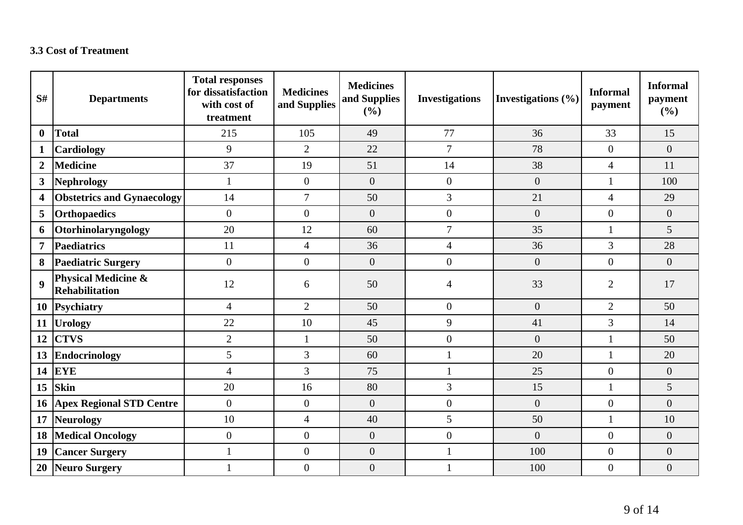#### **3.3 Cost of Treatment**

| S#               | <b>Departments</b>                                      | <b>Total responses</b><br>for dissatisfaction<br>with cost of<br>treatment | <b>Medicines</b><br>and Supplies | <b>Medicines</b><br>and Supplies<br>(%) | <b>Investigations</b> | Investigations $(\% )$ | <b>Informal</b><br>payment | <b>Informal</b><br>payment<br>(%) |
|------------------|---------------------------------------------------------|----------------------------------------------------------------------------|----------------------------------|-----------------------------------------|-----------------------|------------------------|----------------------------|-----------------------------------|
| $\boldsymbol{0}$ | <b>Total</b>                                            | 215                                                                        | 105                              | 49                                      | 77                    | 36                     | 33                         | 15                                |
| $\mathbf{1}$     | Cardiology                                              | 9                                                                          | $\overline{2}$                   | 22                                      | $\overline{7}$        | 78                     | $\overline{0}$             | $\overline{0}$                    |
| $\overline{2}$   | <b>Medicine</b>                                         | 37                                                                         | 19                               | 51                                      | 14                    | 38                     | $\overline{4}$             | 11                                |
| 3                | <b>Nephrology</b>                                       | $\mathbf{1}$                                                               | $\overline{0}$                   | $\overline{0}$                          | $\overline{0}$        | $\overline{0}$         | $\mathbf{1}$               | 100                               |
| 4                | <b>Obstetrics and Gynaecology</b>                       | 14                                                                         | $\overline{7}$                   | 50                                      | 3                     | 21                     | $\overline{4}$             | 29                                |
| 5                | <b>Orthopaedics</b>                                     | $\overline{0}$                                                             | $\overline{0}$                   | $\overline{0}$                          | $\overline{0}$        | $\overline{0}$         | $\overline{0}$             | $\overline{0}$                    |
| 6                | Otorhinolaryngology                                     | 20                                                                         | 12                               | 60                                      | $\overline{7}$        | 35                     |                            | 5                                 |
| $\overline{7}$   | Paediatrics                                             | 11                                                                         | $\overline{4}$                   | 36                                      | $\overline{4}$        | 36                     | 3                          | 28                                |
| 8                | <b>Paediatric Surgery</b>                               | $\boldsymbol{0}$                                                           | $\overline{0}$                   | $\boldsymbol{0}$                        | $\mathbf{0}$          | $\overline{0}$         | $\overline{0}$             | $\overline{0}$                    |
| $\boldsymbol{9}$ | <b>Physical Medicine &amp;</b><br><b>Rehabilitation</b> | 12                                                                         | 6                                | 50                                      | 4                     | 33                     | $\overline{2}$             | 17                                |
| 10               | Psychiatry                                              | $\overline{4}$                                                             | $\overline{2}$                   | 50                                      | $\overline{0}$        | $\overline{0}$         | $\overline{2}$             | 50                                |
| <b>11</b>        | <b>Urology</b>                                          | 22                                                                         | 10                               | 45                                      | 9                     | 41                     | 3                          | 14                                |
| 12               | <b>CTVS</b>                                             | $\overline{2}$                                                             | $\mathbf{1}$                     | 50                                      | $\boldsymbol{0}$      | $\overline{0}$         |                            | 50                                |
| 13               | <b>Endocrinology</b>                                    | 5                                                                          | $\overline{3}$                   | 60                                      | $\mathbf{1}$          | 20                     | $\mathbf{1}$               | 20                                |
| 14               | <b>EYE</b>                                              | $\overline{4}$                                                             | 3                                | 75                                      | $\mathbf{1}$          | 25                     | $\overline{0}$             | $\overline{0}$                    |
| 15               | <b>Skin</b>                                             | 20                                                                         | 16                               | 80                                      | 3                     | 15                     | 1                          | 5                                 |
| 16               | <b>Apex Regional STD Centre</b>                         | $\boldsymbol{0}$                                                           | $\boldsymbol{0}$                 | $\boldsymbol{0}$                        | $\boldsymbol{0}$      | $\boldsymbol{0}$       | $\overline{0}$             | $\overline{0}$                    |
| 17               | <b>Neurology</b>                                        | 10                                                                         | $\overline{4}$                   | 40                                      | 5                     | 50                     | $\mathbf{1}$               | 10                                |
| 18               | <b>Medical Oncology</b>                                 | $\boldsymbol{0}$                                                           | $\overline{0}$                   | $\boldsymbol{0}$                        | $\overline{0}$        | $\overline{0}$         | $\overline{0}$             | $\overline{0}$                    |
| 19               | <b>Cancer Surgery</b>                                   | $\mathbf{1}$                                                               | $\theta$                         | $\boldsymbol{0}$                        | $\mathbf{1}$          | 100                    | $\overline{0}$             | $\overline{0}$                    |
|                  | 20 Neuro Surgery                                        |                                                                            | $\overline{0}$                   | $\boldsymbol{0}$                        |                       | 100                    | $\overline{0}$             | $\overline{0}$                    |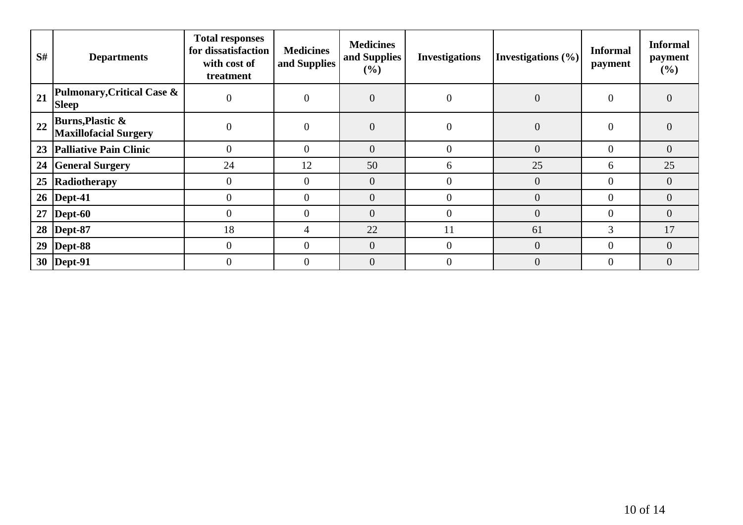| S# | <b>Departments</b>                                          | <b>Total responses</b><br>for dissatisfaction<br>with cost of<br>treatment | <b>Medicines</b><br>and Supplies | <b>Medicines</b><br>and Supplies<br>(%) | <b>Investigations</b> | Investigations $(\% )$ | <b>Informal</b><br>payment | <b>Informal</b><br>payment<br>$(\%)$ |
|----|-------------------------------------------------------------|----------------------------------------------------------------------------|----------------------------------|-----------------------------------------|-----------------------|------------------------|----------------------------|--------------------------------------|
| 21 | Pulmonary, Critical Case &<br><b>Sleep</b>                  | $\theta$                                                                   | $\theta$                         | $\boldsymbol{0}$                        | $\mathbf{0}$          | $\boldsymbol{0}$       | $\overline{0}$             | $\overline{0}$                       |
| 22 | <b>Burns, Plastic &amp;</b><br><b>Maxillofacial Surgery</b> | $\overline{0}$                                                             | $\Omega$                         | $\overline{0}$                          | $\overline{0}$        | $\overline{0}$         | $\Omega$                   | $\overline{0}$                       |
| 23 | <b>Palliative Pain Clinic</b>                               | $\overline{0}$                                                             | $\theta$                         | $\boldsymbol{0}$                        | $\overline{0}$        | $\overline{0}$         | $\theta$                   | $\boldsymbol{0}$                     |
| 24 | <b>General Surgery</b>                                      | 24                                                                         | 12                               | 50                                      | 6                     | 25                     | 6                          | 25                                   |
| 25 | Radiotherapy                                                | $\boldsymbol{0}$                                                           | $\Omega$                         | $\overline{0}$                          | $\theta$              | $\overline{0}$         |                            | $\overline{0}$                       |
|    | 26   Dept-41                                                | $\overline{0}$                                                             | $\theta$                         | $\overline{0}$                          | $\theta$              | $\overline{0}$         | $\theta$                   | $\overline{0}$                       |
| 27 | $\vert$ Dept-60                                             | $\overline{0}$                                                             | $\overline{0}$                   | $\overline{0}$                          | $\overline{0}$        | $\overline{0}$         |                            | $\overline{0}$                       |
|    | 28   Dept-87                                                | 18                                                                         | 4                                | 22                                      | 11                    | 61                     | 3                          | 17                                   |
| 29 | $\vert$ Dept-88                                             | $\overline{0}$                                                             | $\theta$                         | $\overline{0}$                          | $\overline{0}$        | $\overline{0}$         | $\theta$                   | $\overline{0}$                       |
|    | 30   Dept-91                                                | $\theta$                                                                   |                                  | $\overline{0}$                          | $\Omega$              | $\overline{0}$         |                            | $\overline{0}$                       |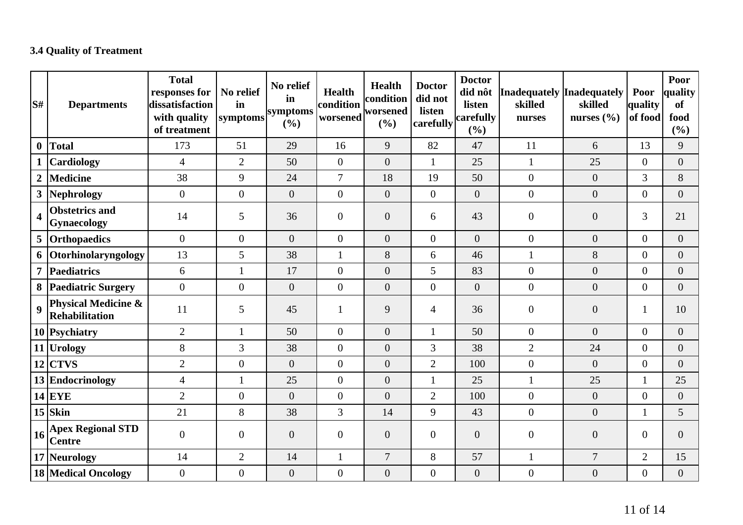## **3.4 Quality of Treatment**

| lS#                     | <b>Departments</b>                        | <b>Total</b><br>responses for<br>dissatisfaction<br>with quality<br>of treatment | No relief<br>in<br>symptoms | No relief<br>in<br>symptoms<br>(%) | <b>Health</b><br>condition<br>worsened | Health<br>condition<br>worsened<br>(%) | <b>Doctor</b><br>did not<br>listen<br>carefully | <b>Doctor</b><br>did nôt<br>listen<br>carefully<br>(%) | Inadequately Inadequately<br>skilled<br>nurses | skilled<br>nurses $(\% )$ | Poor<br>quality<br>of food | Poor<br>quality<br><b>of</b><br>food<br>(%) |
|-------------------------|-------------------------------------------|----------------------------------------------------------------------------------|-----------------------------|------------------------------------|----------------------------------------|----------------------------------------|-------------------------------------------------|--------------------------------------------------------|------------------------------------------------|---------------------------|----------------------------|---------------------------------------------|
| $\boldsymbol{0}$        | Total                                     | 173                                                                              | 51                          | 29                                 | 16                                     | 9                                      | 82                                              | 47                                                     | 11                                             | 6                         | 13                         | 9                                           |
|                         | <b>Cardiology</b>                         | $\overline{4}$                                                                   | $\overline{2}$              | 50                                 | $\overline{0}$                         | $\overline{0}$                         | $\mathbf{1}$                                    | 25                                                     | $\mathbf{1}$                                   | 25                        | $\overline{0}$             | $\overline{0}$                              |
| $\overline{2}$          | Medicine                                  | 38                                                                               | 9                           | 24                                 | $\overline{7}$                         | 18                                     | 19                                              | 50                                                     | $\overline{0}$                                 | $\overline{0}$            | 3                          | 8                                           |
|                         | 3 Nephrology                              | $\overline{0}$                                                                   | $\boldsymbol{0}$            | $\boldsymbol{0}$                   | $\mathbf{0}$                           | $\overline{0}$                         | $\overline{0}$                                  | $\overline{0}$                                         | $\overline{0}$                                 | $\overline{0}$            | $\overline{0}$             | $\overline{0}$                              |
| $\overline{\mathbf{4}}$ | <b>Obstetrics and</b><br>Gynaecology      | 14                                                                               | 5                           | 36                                 | $\overline{0}$                         | $\overline{0}$                         | 6                                               | 43                                                     | $\overline{0}$                                 | $\overline{0}$            | 3                          | 21                                          |
|                         | 5 Orthopaedics                            | $\overline{0}$                                                                   | $\overline{0}$              | $\overline{0}$                     | $\overline{0}$                         | $\overline{0}$                         | $\overline{0}$                                  | $\overline{0}$                                         | $\overline{0}$                                 | $\overline{0}$            | $\overline{0}$             | $\overline{0}$                              |
|                         | 6 Otorhinolaryngology                     | 13                                                                               | 5                           | 38                                 | 1                                      | 8                                      | 6                                               | 46                                                     | $\mathbf{1}$                                   | 8                         | $\overline{0}$             | $\overline{0}$                              |
|                         | 7 Paediatrics                             | 6                                                                                | 1                           | 17                                 | $\boldsymbol{0}$                       | $\overline{0}$                         | 5                                               | 83                                                     | $\overline{0}$                                 | $\overline{0}$            | $\boldsymbol{0}$           | $\overline{0}$                              |
|                         | 8 Paediatric Surgery                      | $\overline{0}$                                                                   | $\mathbf{0}$                | $\boldsymbol{0}$                   | $\mathbf{0}$                           | $\overline{0}$                         | $\overline{0}$                                  | $\overline{0}$                                         | $\boldsymbol{0}$                               | $\overline{0}$            | $\overline{0}$             | $\overline{0}$                              |
| $\boldsymbol{9}$        | Physical Medicine &<br>Rehabilitation     | 11                                                                               | 5                           | 45                                 | 1                                      | 9                                      | $\overline{4}$                                  | 36                                                     | $\overline{0}$                                 | $\overline{0}$            | 1                          | 10                                          |
|                         | 10 Psychiatry                             | $\overline{2}$                                                                   | 1                           | 50                                 | $\overline{0}$                         | $\overline{0}$                         | $\mathbf{1}$                                    | 50                                                     | $\overline{0}$                                 | $\overline{0}$            | $\overline{0}$             | $\overline{0}$                              |
|                         | 11 Urology                                | 8                                                                                | 3                           | 38                                 | $\mathbf{0}$                           | $\overline{0}$                         | 3                                               | 38                                                     | $\overline{2}$                                 | 24                        | $\overline{0}$             | $\overline{0}$                              |
|                         | $12$ CTVS                                 | $\overline{2}$                                                                   | $\overline{0}$              | $\overline{0}$                     | $\mathbf{0}$                           | $\overline{0}$                         | $\overline{2}$                                  | 100                                                    | $\overline{0}$                                 | $\overline{0}$            | $\boldsymbol{0}$           | $\overline{0}$                              |
|                         | 13 Endocrinology                          | $\overline{4}$                                                                   | $\mathbf{1}$                | 25                                 | $\boldsymbol{0}$                       | $\overline{0}$                         | $\mathbf{1}$                                    | 25                                                     | $\mathbf{1}$                                   | 25                        | $\mathbf{1}$               | 25                                          |
|                         | $14$ EYE                                  | $\overline{2}$                                                                   | $\overline{0}$              | $\boldsymbol{0}$                   | $\boldsymbol{0}$                       | $\overline{0}$                         | $\overline{2}$                                  | 100                                                    | $\boldsymbol{0}$                               | $\overline{0}$            | $\boldsymbol{0}$           | $\boldsymbol{0}$                            |
|                         | $15$ Skin                                 | 21                                                                               | 8                           | 38                                 | 3                                      | 14                                     | 9                                               | 43                                                     | $\overline{0}$                                 | $\overline{0}$            | $\mathbf{1}$               | 5                                           |
| 16                      | <b>Apex Regional STD</b><br><b>Centre</b> | $\overline{0}$                                                                   | $\boldsymbol{0}$            | $\overline{0}$                     | $\boldsymbol{0}$                       | $\overline{0}$                         | $\overline{0}$                                  | $\overline{0}$                                         | $\overline{0}$                                 | $\overline{0}$            | $\overline{0}$             | $\overline{0}$                              |
|                         | 17 Neurology                              | 14                                                                               | $\mathbf{2}$                | 14                                 | $\mathbf{1}$                           | $\overline{7}$                         | 8                                               | 57                                                     | $\mathbf{1}$                                   | $\overline{7}$            | $\overline{2}$             | 15                                          |
|                         | <b>18 Medical Oncology</b>                | $\overline{0}$                                                                   | $\mathbf{0}$                | $\boldsymbol{0}$                   | $\boldsymbol{0}$                       | $\boldsymbol{0}$                       | $\boldsymbol{0}$                                | $\mathbf{0}$                                           | $\boldsymbol{0}$                               | $\overline{0}$            | $\boldsymbol{0}$           | $\overline{0}$                              |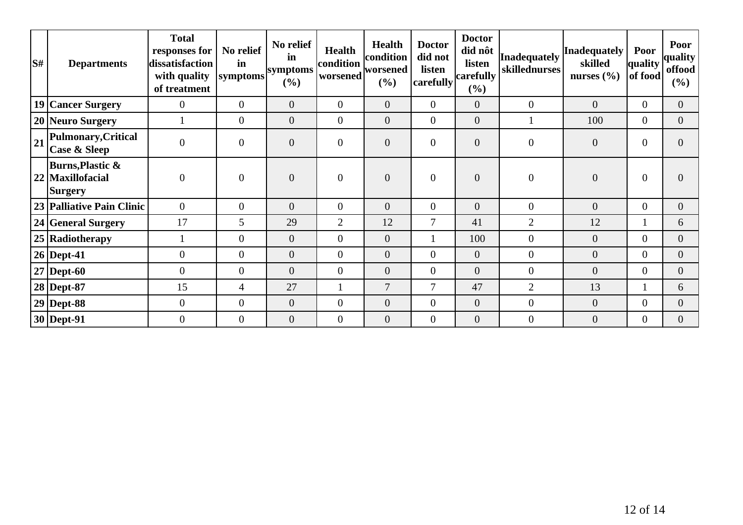| S# | <b>Departments</b>                                       | <b>Total</b><br>responses for<br>dissatisfaction<br>with quality<br>of treatment | No relief<br>in<br>symptoms | No relief<br>in<br>symptoms<br>(%) | <b>Health</b><br>condition<br>worsened | <b>Health</b><br>condition<br>worsened<br>$(\%)$ | <b>Doctor</b><br>did not<br>listen<br>carefully | <b>Doctor</b><br>did nôt<br>listen<br>carefully<br>$(\%)$ | Inadequately<br>skillednurses | <b>Inadequately</b><br>skilled<br>nurses $(\% )$ | Poor<br>quality<br>of food | Poor<br>quality<br>offood<br>(%) |
|----|----------------------------------------------------------|----------------------------------------------------------------------------------|-----------------------------|------------------------------------|----------------------------------------|--------------------------------------------------|-------------------------------------------------|-----------------------------------------------------------|-------------------------------|--------------------------------------------------|----------------------------|----------------------------------|
|    | 19 Cancer Surgery                                        | $\overline{0}$                                                                   | $\overline{0}$              | $\overline{0}$                     | $\overline{0}$                         | $\overline{0}$                                   | $\overline{0}$                                  | $\overline{0}$                                            | $\overline{0}$                | $\overline{0}$                                   | $\overline{0}$             | $\Omega$                         |
|    | 20 Neuro Surgery                                         |                                                                                  | $\overline{0}$              | $\overline{0}$                     | $\overline{0}$                         | $\overline{0}$                                   | $\overline{0}$                                  | $\overline{0}$                                            |                               | 100                                              | $\overline{0}$             | $\overline{0}$                   |
| 21 | Pulmonary, Critical<br>Case & Sleep                      | $\overline{0}$                                                                   | $\boldsymbol{0}$            | $\overline{0}$                     | $\overline{0}$                         | $\overline{0}$                                   | $\overline{0}$                                  | $\overline{0}$                                            | $\overline{0}$                | $\overline{0}$                                   | $\overline{0}$             | $\Omega$                         |
|    | Burns, Plastic &<br>22   Maxillofacial<br><b>Surgery</b> | $\overline{0}$                                                                   | $\mathbf{0}$                | $\mathbf{0}$                       | $\mathbf{0}$                           | $\overline{0}$                                   | $\overline{0}$                                  | $\overline{0}$                                            | $\overline{0}$                | $\overline{0}$                                   | $\overline{0}$             |                                  |
|    | 23 Palliative Pain Clinic                                | $\overline{0}$                                                                   | $\overline{0}$              | $\overline{0}$                     | $\overline{0}$                         | $\Omega$                                         | $\overline{0}$                                  | $\overline{0}$                                            | $\overline{0}$                | $\overline{0}$                                   | $\Omega$                   | $\Omega$                         |
|    | 24 General Surgery                                       | 17                                                                               | 5                           | 29                                 | $\overline{2}$                         | 12                                               | 7                                               | 41                                                        | $\overline{2}$                | 12                                               |                            | 6                                |
|    | 25 Radiotherapy                                          |                                                                                  | $\overline{0}$              | $\overline{0}$                     | $\overline{0}$                         | $\overline{0}$                                   |                                                 | 100                                                       | $\overline{0}$                | $\overline{0}$                                   | $\Omega$                   | $\Omega$                         |
|    | $26$ Dept-41                                             | $\overline{0}$                                                                   | $\overline{0}$              | $\overline{0}$                     | $\overline{0}$                         | $\overline{0}$                                   | $\Omega$                                        | $\overline{0}$                                            | $\overline{0}$                | $\overline{0}$                                   | $\Omega$                   | $\Omega$                         |
|    | $27$ Dept-60                                             | $\overline{0}$                                                                   | $\boldsymbol{0}$            | $\overline{0}$                     | $\overline{0}$                         | $\overline{0}$                                   | $\overline{0}$                                  | $\overline{0}$                                            | $\overline{0}$                | $\overline{0}$                                   | $\Omega$                   | $\Omega$                         |
|    | $28$ Dept-87                                             | 15                                                                               | $\overline{4}$              | 27                                 |                                        | $\overline{7}$                                   | 7                                               | 47                                                        | $\overline{2}$                | 13                                               |                            | 6                                |
|    | $29$ Dept-88                                             | $\overline{0}$                                                                   | $\boldsymbol{0}$            | $\overline{0}$                     | $\overline{0}$                         | $\overline{0}$                                   | $\overline{0}$                                  | $\overline{0}$                                            | $\overline{0}$                | $\overline{0}$                                   | $\theta$                   | $\Omega$                         |
|    | 30   Dept-91                                             | $\theta$                                                                         | $\overline{0}$              | $\overline{0}$                     | $\overline{0}$                         | $\overline{0}$                                   | $\overline{0}$                                  | $\overline{0}$                                            | $\overline{0}$                | $\overline{0}$                                   | $\overline{0}$             | $\overline{0}$                   |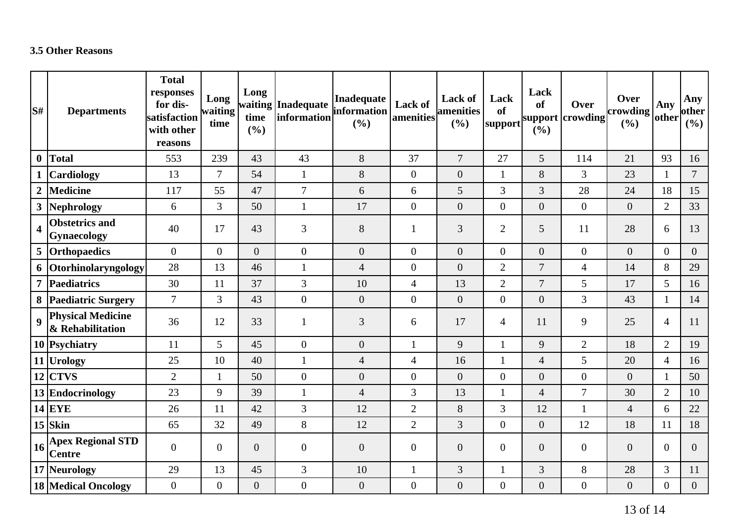#### **3.5 Other Reasons**

| lS#                     | <b>Departments</b>                                               | <b>Total</b><br>responses<br>for dis-<br>satisfaction<br>with other<br>reasons | Long<br>waiting<br>time | Long<br>time<br>(%) | waiting Inadequate<br>information | <b>Inadequate</b><br>information<br>(%) | Lack of<br>amenities | <b>Lack of</b><br><b>amenities</b><br>(%) | Lack<br>of<br>support | Lack<br>of<br>(%) | Over<br>support crowding | Over<br>crowding<br>(%) | Any<br>other   | Any<br>other<br>(%) |
|-------------------------|------------------------------------------------------------------|--------------------------------------------------------------------------------|-------------------------|---------------------|-----------------------------------|-----------------------------------------|----------------------|-------------------------------------------|-----------------------|-------------------|--------------------------|-------------------------|----------------|---------------------|
| $\bf{0}$                | Total                                                            | 553                                                                            | 239                     | 43                  | 43                                | 8                                       | 37                   | $\overline{7}$                            | 27                    | 5                 | 114                      | 21                      | 93             | 16                  |
|                         | <b>Cardiology</b>                                                | 13                                                                             | $\overline{7}$          | 54                  | $\mathbf{1}$                      | 8                                       | $\boldsymbol{0}$     | $\boldsymbol{0}$                          | $\mathbf{1}$          | 8                 | 3                        | 23                      | $\mathbf{1}$   | $\overline{7}$      |
| $\overline{2}$          | <b>Medicine</b>                                                  | 117                                                                            | 55                      | 47                  | $\overline{7}$                    | 6                                       | 6                    | $5\overline{)}$                           | 3                     | 3                 | 28                       | 24                      | 18             | 15                  |
|                         | 3 Nephrology                                                     | 6                                                                              | $\overline{3}$          | 50                  | $\mathbf 1$                       | 17                                      | $\overline{0}$       | $\overline{0}$                            | $\overline{0}$        | $\overline{0}$    | $\overline{0}$           | $\overline{0}$          | $\overline{2}$ | 33                  |
| $\overline{\mathbf{4}}$ | <b>Obstetrics and</b><br>Gynaecology                             | 40                                                                             | 17                      | 43                  | 3                                 | $8\,$                                   | $\mathbf{1}$         | 3                                         | $\overline{2}$        | 5                 | 11                       | 28                      | 6              | 13                  |
| 5                       | <b>Orthopaedics</b>                                              | $\overline{0}$                                                                 | $\overline{0}$          | $\overline{0}$      | $\boldsymbol{0}$                  | $\mathbf{0}$                            | $\overline{0}$       | $\overline{0}$                            | $\overline{0}$        | $\overline{0}$    | $\overline{0}$           | $\overline{0}$          | $\overline{0}$ | $\overline{0}$      |
|                         | 6 Otorhinolaryngology                                            | 28                                                                             | 13                      | 46                  | $\mathbf{1}$                      | $\overline{4}$                          | $\boldsymbol{0}$     | $\overline{0}$                            | $\overline{2}$        | $\overline{7}$    | $\overline{4}$           | 14                      | 8              | 29                  |
| $\overline{7}$          | Paediatrics                                                      | 30                                                                             | 11                      | 37                  | 3                                 | 10                                      | $\overline{4}$       | 13                                        | $\overline{2}$        | $\overline{7}$    | 5                        | 17                      | 5              | 16                  |
|                         | 8 Paediatric Surgery                                             | $\overline{7}$                                                                 | $\overline{3}$          | 43                  | $\overline{0}$                    | $\mathbf{0}$                            | $\overline{0}$       | $\overline{0}$                            | $\overline{0}$        | $\boldsymbol{0}$  | $\overline{3}$           | 43                      | $\mathbf{1}$   | 14                  |
| $\boldsymbol{9}$        | <b>Physical Medicine</b><br>& Rehabilitation                     | 36                                                                             | 12                      | 33                  | $\mathbf{1}$                      | 3                                       | 6                    | 17                                        | $\overline{4}$        | 11                | 9                        | 25                      | $\overline{4}$ | 11                  |
|                         | 10 Psychiatry                                                    | 11                                                                             | 5                       | 45                  | $\boldsymbol{0}$                  | $\mathbf{0}$                            | $\mathbf{1}$         | 9                                         | 1                     | 9                 | $\overline{2}$           | 18                      | $\overline{2}$ | 19                  |
|                         | 11 Urology                                                       | 25                                                                             | 10                      | 40                  | $\mathbf{1}$                      | $\overline{4}$                          | $\overline{4}$       | 16                                        | 1                     | $\overline{4}$    | 5                        | 20                      | $\overline{4}$ | 16                  |
|                         | $12$ CTVS                                                        | $\overline{2}$                                                                 | 1                       | 50                  | $\overline{0}$                    | $\boldsymbol{0}$                        | $\boldsymbol{0}$     | $\overline{0}$                            | $\overline{0}$        | $\overline{0}$    | $\overline{0}$           | $\overline{0}$          | $\mathbf{1}$   | 50                  |
|                         | 13 Endocrinology                                                 | 23                                                                             | 9                       | 39                  | $\mathbf{1}$                      | $\overline{4}$                          | $\mathfrak{Z}$       | 13                                        | 1                     | $\overline{4}$    | $\overline{7}$           | 30                      | $\overline{2}$ | 10                  |
|                         | $14$ EYE                                                         | 26                                                                             | 11                      | 42                  | 3                                 | 12                                      | $\overline{2}$       | 8                                         | 3                     | 12                | $\mathbf{1}$             | $\overline{4}$          | 6              | 22                  |
|                         | $15$ Skin                                                        | 65                                                                             | 32                      | 49                  | 8                                 | 12                                      | $\overline{2}$       | 3                                         | $\overline{0}$        | $\overline{0}$    | 12                       | 18                      | 11             | 18                  |
|                         | $\left  \frac{16}{6} \right $ Apex Regional STD<br><b>Centre</b> | $\overline{0}$                                                                 | $\overline{0}$          | $\overline{0}$      | $\boldsymbol{0}$                  | $\overline{0}$                          | $\overline{0}$       | $\overline{0}$                            | $\overline{0}$        | $\overline{0}$    | $\overline{0}$           | $\overline{0}$          | $\overline{0}$ | $\overline{0}$      |
|                         | 17 Neurology                                                     | 29                                                                             | 13                      | 45                  | 3                                 | 10                                      | $\mathbf{1}$         | 3                                         | 1                     | 3                 | 8                        | 28                      | $\overline{3}$ | 11                  |
|                         | <b>18 Medical Oncology</b>                                       | $\overline{0}$                                                                 | $\overline{0}$          | $\overline{0}$      | $\boldsymbol{0}$                  | $\mathbf{0}$                            | $\boldsymbol{0}$     | $\overline{0}$                            | $\overline{0}$        | $\boldsymbol{0}$  | $\overline{0}$           | $\overline{0}$          | $\overline{0}$ | $\overline{0}$      |